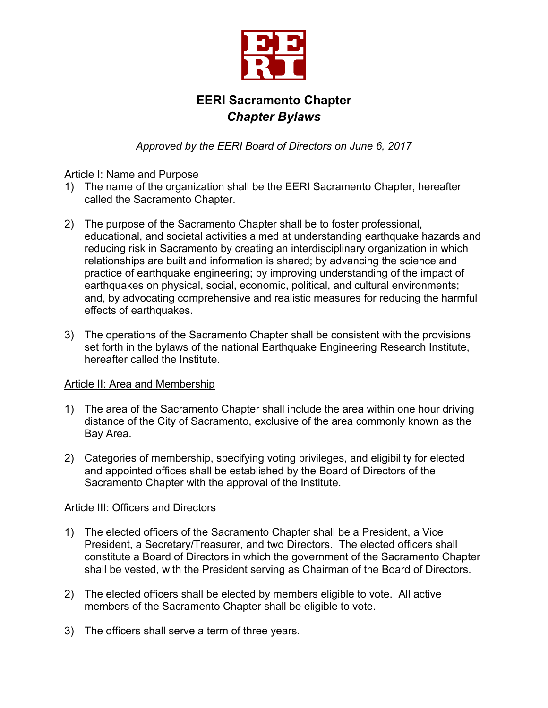

# **EERI Sacramento Chapter** *Chapter Bylaws*

*Approved by the EERI Board of Directors on June 6, 2017*

# Article I: Name and Purpose

- 1) The name of the organization shall be the EERI Sacramento Chapter, hereafter called the Sacramento Chapter.
- 2) The purpose of the Sacramento Chapter shall be to foster professional, educational, and societal activities aimed at understanding earthquake hazards and reducing risk in Sacramento by creating an interdisciplinary organization in which relationships are built and information is shared; by advancing the science and practice of earthquake engineering; by improving understanding of the impact of earthquakes on physical, social, economic, political, and cultural environments; and, by advocating comprehensive and realistic measures for reducing the harmful effects of earthquakes.
- 3) The operations of the Sacramento Chapter shall be consistent with the provisions set forth in the bylaws of the national Earthquake Engineering Research Institute, hereafter called the Institute.

# Article II: Area and Membership

- 1) The area of the Sacramento Chapter shall include the area within one hour driving distance of the City of Sacramento, exclusive of the area commonly known as the Bay Area.
- 2) Categories of membership, specifying voting privileges, and eligibility for elected and appointed offices shall be established by the Board of Directors of the Sacramento Chapter with the approval of the Institute.

# Article III: Officers and Directors

- 1) The elected officers of the Sacramento Chapter shall be a President, a Vice President, a Secretary/Treasurer, and two Directors. The elected officers shall constitute a Board of Directors in which the government of the Sacramento Chapter shall be vested, with the President serving as Chairman of the Board of Directors.
- 2) The elected officers shall be elected by members eligible to vote. All active members of the Sacramento Chapter shall be eligible to vote.
- 3) The officers shall serve a term of three years.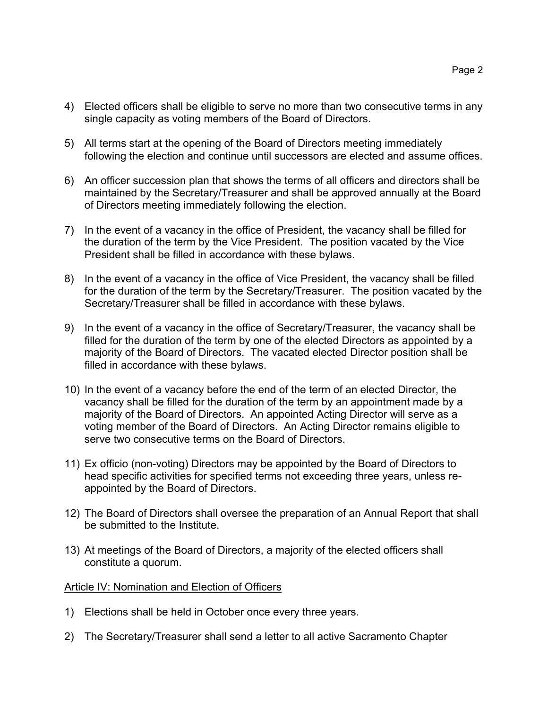- 4) Elected officers shall be eligible to serve no more than two consecutive terms in any single capacity as voting members of the Board of Directors.
- 5) All terms start at the opening of the Board of Directors meeting immediately following the election and continue until successors are elected and assume offices.
- 6) An officer succession plan that shows the terms of all officers and directors shall be maintained by the Secretary/Treasurer and shall be approved annually at the Board of Directors meeting immediately following the election.
- 7) In the event of a vacancy in the office of President, the vacancy shall be filled for the duration of the term by the Vice President. The position vacated by the Vice President shall be filled in accordance with these bylaws.
- 8) In the event of a vacancy in the office of Vice President, the vacancy shall be filled for the duration of the term by the Secretary/Treasurer. The position vacated by the Secretary/Treasurer shall be filled in accordance with these bylaws.
- 9) In the event of a vacancy in the office of Secretary/Treasurer, the vacancy shall be filled for the duration of the term by one of the elected Directors as appointed by a majority of the Board of Directors. The vacated elected Director position shall be filled in accordance with these bylaws.
- 10) In the event of a vacancy before the end of the term of an elected Director, the vacancy shall be filled for the duration of the term by an appointment made by a majority of the Board of Directors. An appointed Acting Director will serve as a voting member of the Board of Directors. An Acting Director remains eligible to serve two consecutive terms on the Board of Directors.
- 11) Ex officio (non-voting) Directors may be appointed by the Board of Directors to head specific activities for specified terms not exceeding three years, unless reappointed by the Board of Directors.
- 12) The Board of Directors shall oversee the preparation of an Annual Report that shall be submitted to the Institute.
- 13) At meetings of the Board of Directors, a majority of the elected officers shall constitute a quorum.

## Article IV: Nomination and Election of Officers

- 1) Elections shall be held in October once every three years.
- 2) The Secretary/Treasurer shall send a letter to all active Sacramento Chapter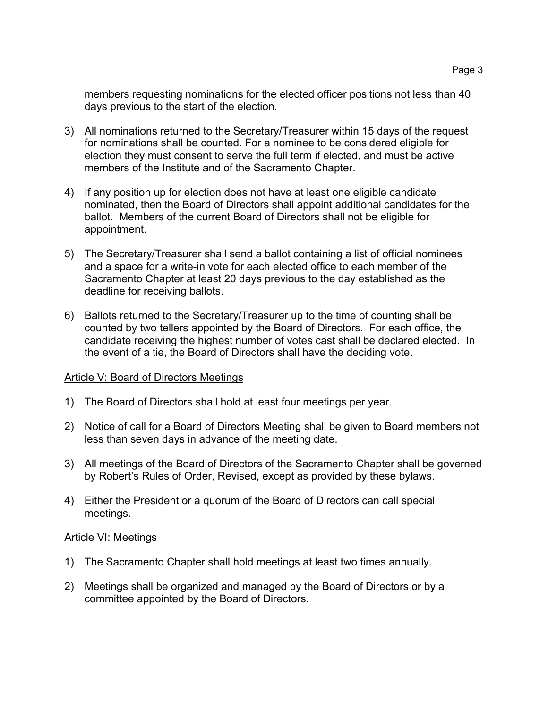members requesting nominations for the elected officer positions not less than 40 days previous to the start of the election.

- 3) All nominations returned to the Secretary/Treasurer within 15 days of the request for nominations shall be counted. For a nominee to be considered eligible for election they must consent to serve the full term if elected, and must be active members of the Institute and of the Sacramento Chapter.
- 4) If any position up for election does not have at least one eligible candidate nominated, then the Board of Directors shall appoint additional candidates for the ballot. Members of the current Board of Directors shall not be eligible for appointment.
- 5) The Secretary/Treasurer shall send a ballot containing a list of official nominees and a space for a write-in vote for each elected office to each member of the Sacramento Chapter at least 20 days previous to the day established as the deadline for receiving ballots.
- 6) Ballots returned to the Secretary/Treasurer up to the time of counting shall be counted by two tellers appointed by the Board of Directors. For each office, the candidate receiving the highest number of votes cast shall be declared elected. In the event of a tie, the Board of Directors shall have the deciding vote.

## Article V: Board of Directors Meetings

- 1) The Board of Directors shall hold at least four meetings per year.
- 2) Notice of call for a Board of Directors Meeting shall be given to Board members not less than seven days in advance of the meeting date.
- 3) All meetings of the Board of Directors of the Sacramento Chapter shall be governed by Robert's Rules of Order, Revised, except as provided by these bylaws.
- 4) Either the President or a quorum of the Board of Directors can call special meetings.

#### Article VI: Meetings

- 1) The Sacramento Chapter shall hold meetings at least two times annually.
- 2) Meetings shall be organized and managed by the Board of Directors or by a committee appointed by the Board of Directors.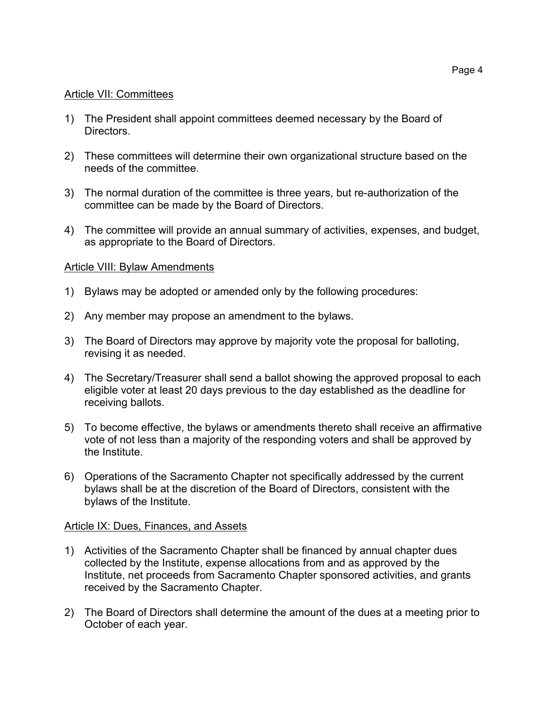#### Article VII: Committees

- 1) The President shall appoint committees deemed necessary by the Board of Directors.
- 2) These committees will determine their own organizational structure based on the needs of the committee.
- 3) The normal duration of the committee is three years, but re-authorization of the committee can be made by the Board of Directors.
- 4) The committee will provide an annual summary of activities, expenses, and budget, as appropriate to the Board of Directors.

#### Article VIII: Bylaw Amendments

- 1) Bylaws may be adopted or amended only by the following procedures:
- 2) Any member may propose an amendment to the bylaws.
- 3) The Board of Directors may approve by majority vote the proposal for balloting, revising it as needed.
- 4) The Secretary/Treasurer shall send a ballot showing the approved proposal to each eligible voter at least 20 days previous to the day established as the deadline for receiving ballots.
- 5) To become effective, the bylaws or amendments thereto shall receive an affirmative vote of not less than a majority of the responding voters and shall be approved by the Institute.
- 6) Operations of the Sacramento Chapter not specifically addressed by the current bylaws shall be at the discretion of the Board of Directors, consistent with the bylaws of the Institute.

#### Article IX: Dues, Finances, and Assets

- 1) Activities of the Sacramento Chapter shall be financed by annual chapter dues collected by the Institute, expense allocations from and as approved by the Institute, net proceeds from Sacramento Chapter sponsored activities, and grants received by the Sacramento Chapter.
- 2) The Board of Directors shall determine the amount of the dues at a meeting prior to October of each year.